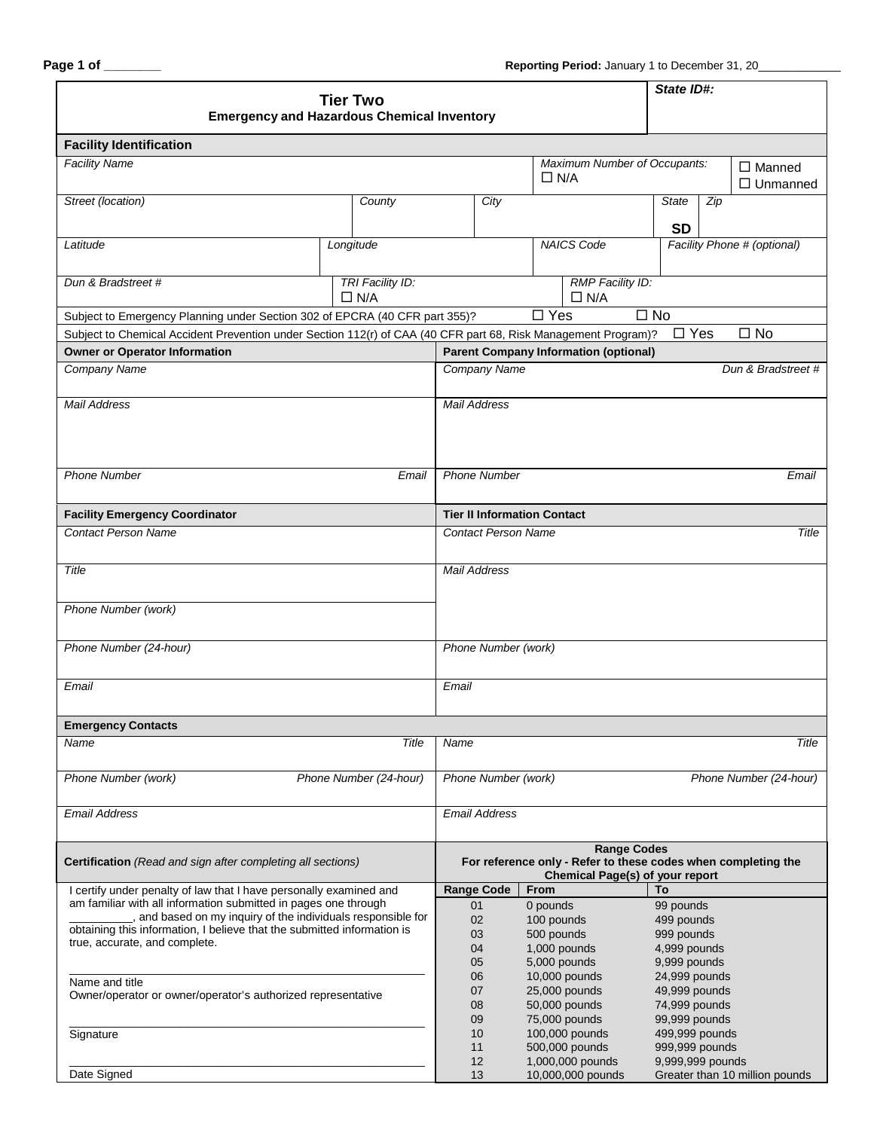| <b>Tier Two</b><br><b>Emergency and Hazardous Chemical Inventory</b>                                                            |  |                                |                                                                                                                        |                                            |                        |                                              | State ID#:                               |            |                                |
|---------------------------------------------------------------------------------------------------------------------------------|--|--------------------------------|------------------------------------------------------------------------------------------------------------------------|--------------------------------------------|------------------------|----------------------------------------------|------------------------------------------|------------|--------------------------------|
| <b>Facility Identification</b>                                                                                                  |  |                                |                                                                                                                        |                                            |                        |                                              |                                          |            |                                |
| <b>Facility Name</b>                                                                                                            |  |                                |                                                                                                                        | Maximum Number of Occupants:<br>$\Box$ N/A |                        |                                              | $\Box$ Manned<br>$\Box$ Unmanned         |            |                                |
| Street (location)<br>County                                                                                                     |  |                                |                                                                                                                        | City                                       |                        |                                              | <b>State</b>                             | Zip        |                                |
| Latitude                                                                                                                        |  | Longitude                      |                                                                                                                        |                                            |                        | <b>NAICS Code</b>                            | <b>SD</b><br>Facility Phone # (optional) |            |                                |
| Dun & Bradstreet #                                                                                                              |  | TRI Facility ID:<br>$\Box$ N/A |                                                                                                                        |                                            |                        | <b>RMP Facility ID:</b><br>$\Box$ N/A        |                                          |            |                                |
| Subject to Emergency Planning under Section 302 of EPCRA (40 CFR part 355)?                                                     |  |                                |                                                                                                                        |                                            | $\square$ Yes          |                                              | $\square$ No                             |            |                                |
| Subject to Chemical Accident Prevention under Section 112(r) of CAA (40 CFR part 68, Risk Management Program)?                  |  |                                |                                                                                                                        |                                            |                        |                                              |                                          | $\Box$ Yes | $\square$ No                   |
| <b>Owner or Operator Information</b>                                                                                            |  |                                |                                                                                                                        |                                            |                        | <b>Parent Company Information (optional)</b> |                                          |            |                                |
| Company Name                                                                                                                    |  |                                | Company Name<br>Dun & Bradstreet #                                                                                     |                                            |                        |                                              |                                          |            |                                |
| <b>Mail Address</b>                                                                                                             |  |                                | <b>Mail Address</b>                                                                                                    |                                            |                        |                                              |                                          |            |                                |
| <b>Phone Number</b><br>Email                                                                                                    |  |                                | <b>Phone Number</b><br>Email                                                                                           |                                            |                        |                                              |                                          |            |                                |
| <b>Facility Emergency Coordinator</b>                                                                                           |  |                                | <b>Tier II Information Contact</b>                                                                                     |                                            |                        |                                              |                                          |            |                                |
| <b>Contact Person Name</b>                                                                                                      |  |                                |                                                                                                                        | <b>Contact Person Name</b>                 |                        |                                              |                                          |            | Title                          |
| Title                                                                                                                           |  |                                | <b>Mail Address</b>                                                                                                    |                                            |                        |                                              |                                          |            |                                |
| Phone Number (work)                                                                                                             |  |                                |                                                                                                                        |                                            |                        |                                              |                                          |            |                                |
| Phone Number (24-hour)                                                                                                          |  |                                | Phone Number (work)                                                                                                    |                                            |                        |                                              |                                          |            |                                |
| Email                                                                                                                           |  |                                | Email                                                                                                                  |                                            |                        |                                              |                                          |            |                                |
| <b>Emergency Contacts</b>                                                                                                       |  |                                |                                                                                                                        |                                            |                        |                                              |                                          |            |                                |
| Name                                                                                                                            |  | Title                          | Name                                                                                                                   |                                            |                        |                                              |                                          |            | Title                          |
| Phone Number (work)<br>Phone Number (24-hour)                                                                                   |  |                                | Phone Number (work)<br>Phone Number (24-hour)                                                                          |                                            |                        |                                              |                                          |            |                                |
| <b>Email Address</b>                                                                                                            |  |                                | <b>Email Address</b>                                                                                                   |                                            |                        |                                              |                                          |            |                                |
| Certification (Read and sign after completing all sections)                                                                     |  |                                | <b>Range Codes</b><br>For reference only - Refer to these codes when completing the<br>Chemical Page(s) of your report |                                            |                        |                                              |                                          |            |                                |
| I certify under penalty of law that I have personally examined and                                                              |  | <b>Range Code</b>              |                                                                                                                        | From                                       |                        | To                                           |                                          |            |                                |
| am familiar with all information submitted in pages one through<br>, and based on my inquiry of the individuals responsible for |  |                                | 01<br>02                                                                                                               |                                            | 0 pounds<br>100 pounds |                                              | 99 pounds<br>499 pounds                  |            |                                |
| obtaining this information, I believe that the submitted information is                                                         |  |                                | 03                                                                                                                     |                                            | 500 pounds             |                                              | 999 pounds                               |            |                                |
| true, accurate, and complete.                                                                                                   |  |                                | 04                                                                                                                     |                                            |                        | 1,000 pounds                                 | 4,999 pounds                             |            |                                |
|                                                                                                                                 |  |                                | 05                                                                                                                     |                                            |                        | 5,000 pounds                                 | 9,999 pounds                             |            |                                |
| Name and title                                                                                                                  |  |                                | 06                                                                                                                     |                                            |                        | 10,000 pounds                                | 24,999 pounds                            |            |                                |
| Owner/operator or owner/operator's authorized representative                                                                    |  |                                | 07<br>08                                                                                                               |                                            |                        | 25,000 pounds<br>50,000 pounds               | 49,999 pounds<br>74,999 pounds           |            |                                |
|                                                                                                                                 |  |                                | 09                                                                                                                     |                                            |                        | 75,000 pounds                                | 99,999 pounds                            |            |                                |
| Signature                                                                                                                       |  |                                | 10                                                                                                                     |                                            |                        | 100,000 pounds                               | 499,999 pounds                           |            |                                |
|                                                                                                                                 |  |                                | 11                                                                                                                     |                                            |                        | 500,000 pounds                               | 999,999 pounds                           |            |                                |
|                                                                                                                                 |  |                                | 12                                                                                                                     |                                            |                        | 1,000,000 pounds                             | 9,999,999 pounds                         |            |                                |
| Date Signed                                                                                                                     |  |                                |                                                                                                                        | 13                                         |                        | 10,000,000 pounds                            |                                          |            | Greater than 10 million pounds |